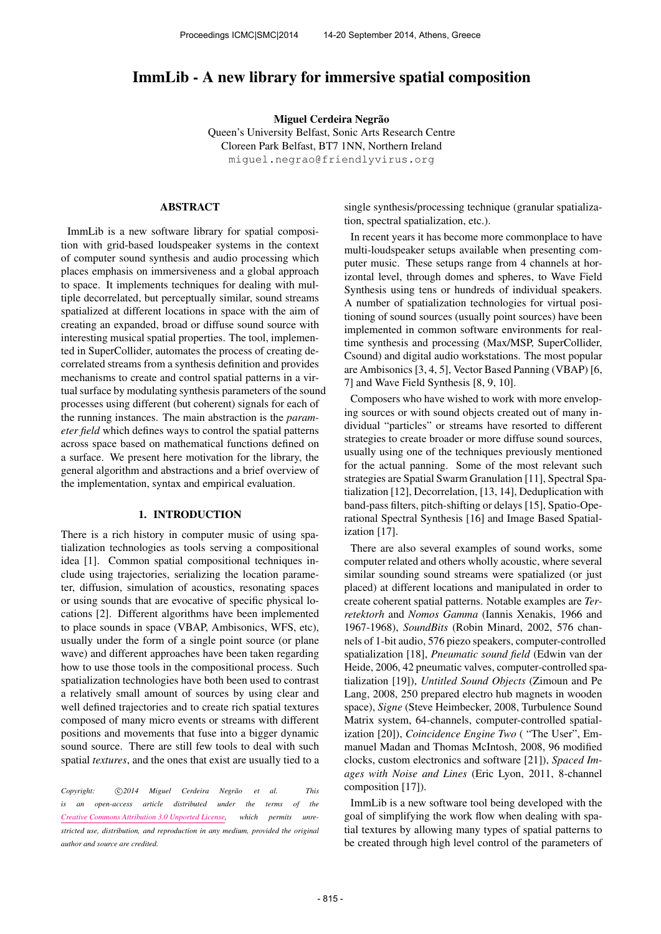# ImmLib - A new library for immersive spatial composition

Miguel Cerdeira Negrão

Queen's University Belfast, Sonic Arts Research Centre Cloreen Park Belfast, BT7 1NN, Northern Ireland [miguel.negrao@friendlyvirus.org](mailto:miguel.negrao@friendlyvirus.org)

# ABSTRACT

ImmLib is a new software library for spatial composition with grid-based loudspeaker systems in the context of computer sound synthesis and audio processing which places emphasis on immersiveness and a global approach to space. It implements techniques for dealing with multiple decorrelated, but perceptually similar, sound streams spatialized at different locations in space with the aim of creating an expanded, broad or diffuse sound source with interesting musical spatial properties. The tool, implemented in SuperCollider, automates the process of creating decorrelated streams from a synthesis definition and provides mechanisms to create and control spatial patterns in a virtual surface by modulating synthesis parameters of the sound processes using different (but coherent) signals for each of the running instances. The main abstraction is the *parameter field* which defines ways to control the spatial patterns across space based on mathematical functions defined on a surface. We present here motivation for the library, the general algorithm and abstractions and a brief overview of the implementation, syntax and empirical evaluation.

# 1. INTRODUCTION

There is a rich history in computer music of using spatialization technologies as tools serving a compositional idea [1]. Common spatial compositional techniques include using trajectories, serializing the location parameter, diffusion, simulation of acoustics, resonating spaces or using sounds that are evocative of specific physical locations [2]. Different algorithms have been implemented to place sounds in space (VBAP, Ambisonics, WFS, etc), usually under the form of a single point source (or plane wave) and different approaches have been taken regarding how to use those tools in the compositional process. Such spatialization technologies have both been used to contrast a relatively small amount of sources by using clear and well defined trajectories and to create rich spatial textures composed of many micro events or streams with different positions and movements that fuse into a bigger dynamic sound source. There are still few tools to deal with such spatial *textures*, and the ones that exist are usually tied to a

Copyright:  $\bigcirc$ 2014 Miguel Cerdeira Negrão et al. This *is an open-access article distributed under the terms of the [Creative Commons Attribution 3.0 Unported License,](http://creativecommons.org/licenses/by/3.0/) which permits unrestricted use, distribution, and reproduction in any medium, provided the original author and source are credited.*

single synthesis/processing technique (granular spatialization, spectral spatialization, etc.).

In recent years it has become more commonplace to have multi-loudspeaker setups available when presenting computer music. These setups range from 4 channels at horizontal level, through domes and spheres, to Wave Field Synthesis using tens or hundreds of individual speakers. A number of spatialization technologies for virtual positioning of sound sources (usually point sources) have been implemented in common software environments for realtime synthesis and processing (Max/MSP, SuperCollider, Csound) and digital audio workstations. The most popular are Ambisonics [3, 4, 5], Vector Based Panning (VBAP) [6, 7] and Wave Field Synthesis [8, 9, 10].

Composers who have wished to work with more enveloping sources or with sound objects created out of many individual "particles" or streams have resorted to different strategies to create broader or more diffuse sound sources, usually using one of the techniques previously mentioned for the actual panning. Some of the most relevant such strategies are Spatial Swarm Granulation [11], Spectral Spatialization [12], Decorrelation, [13, 14], Deduplication with band-pass filters, pitch-shifting or delays [15], Spatio-Operational Spectral Synthesis [16] and Image Based Spatialization [17].

There are also several examples of sound works, some computer related and others wholly acoustic, where several similar sounding sound streams were spatialized (or just placed) at different locations and manipulated in order to create coherent spatial patterns. Notable examples are *Terretektorh* and *Nomos Gamma* (Iannis Xenakis, 1966 and 1967-1968), *SoundBits* (Robin Minard, 2002, 576 channels of 1-bit audio, 576 piezo speakers, computer-controlled spatialization [18], *Pneumatic sound field* (Edwin van der Heide, 2006, 42 pneumatic valves, computer-controlled spatialization [19]), *Untitled Sound Objects* (Zimoun and Pe Lang, 2008, 250 prepared electro hub magnets in wooden space), *Signe* (Steve Heimbecker, 2008, Turbulence Sound Matrix system, 64-channels, computer-controlled spatialization [20]), *Coincidence Engine Two* ( "The User", Emmanuel Madan and Thomas McIntosh, 2008, 96 modified clocks, custom electronics and software [21]), *Spaced Images with Noise and Lines* (Eric Lyon, 2011, 8-channel composition [17]).

ImmLib is a new software tool being developed with the goal of simplifying the work flow when dealing with spatial textures by allowing many types of spatial patterns to be created through high level control of the parameters of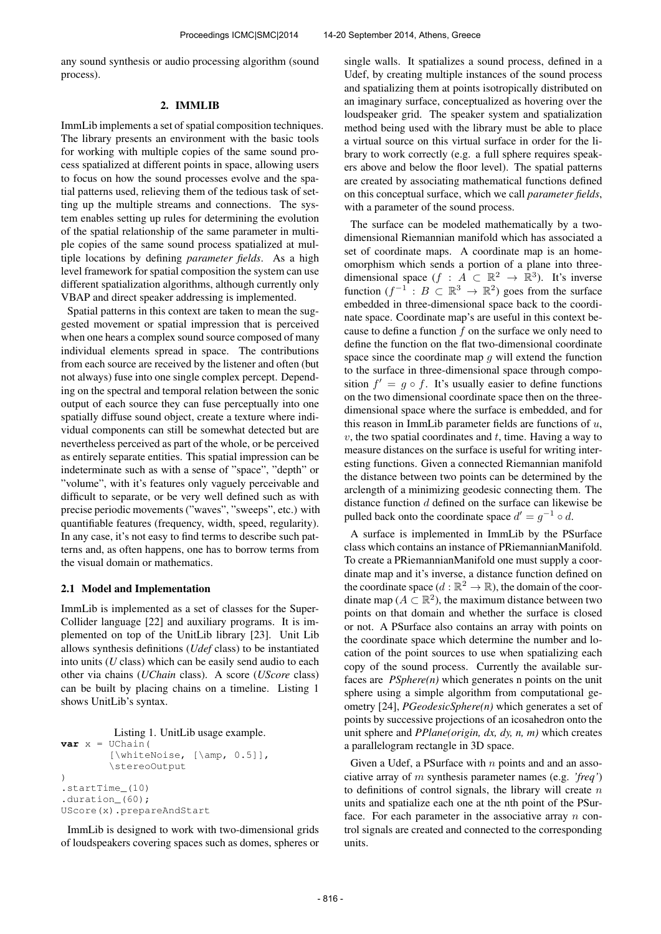any sound synthesis or audio processing algorithm (sound process).

#### 2. IMMLIB

ImmLib implements a set of spatial composition techniques. The library presents an environment with the basic tools for working with multiple copies of the same sound process spatialized at different points in space, allowing users to focus on how the sound processes evolve and the spatial patterns used, relieving them of the tedious task of setting up the multiple streams and connections. The system enables setting up rules for determining the evolution of the spatial relationship of the same parameter in multiple copies of the same sound process spatialized at multiple locations by defining *parameter fields*. As a high level framework for spatial composition the system can use different spatialization algorithms, although currently only VBAP and direct speaker addressing is implemented.

Spatial patterns in this context are taken to mean the suggested movement or spatial impression that is perceived when one hears a complex sound source composed of many individual elements spread in space. The contributions from each source are received by the listener and often (but not always) fuse into one single complex percept. Depending on the spectral and temporal relation between the sonic output of each source they can fuse perceptually into one spatially diffuse sound object, create a texture where individual components can still be somewhat detected but are nevertheless perceived as part of the whole, or be perceived as entirely separate entities. This spatial impression can be indeterminate such as with a sense of "space", "depth" or "volume", with it's features only vaguely perceivable and difficult to separate, or be very well defined such as with precise periodic movements ("waves", "sweeps", etc.) with quantifiable features (frequency, width, speed, regularity). In any case, it's not easy to find terms to describe such patterns and, as often happens, one has to borrow terms from the visual domain or mathematics.

# 2.1 Model and Implementation

ImmLib is implemented as a set of classes for the Super-Collider language [22] and auxiliary programs. It is implemented on top of the UnitLib library [23]. Unit Lib allows synthesis definitions (*Udef* class) to be instantiated into units (*U* class) which can be easily send audio to each other via chains (*UChain* class). A score (*UScore* class) can be built by placing chains on a timeline. Listing 1 shows UnitLib's syntax.

```
Listing 1. UnitLib usage example.
var x = UChain(
         [\whiteNoise, [\amp, 0.5]],
         \stereoOutput
)
.startTime_(10)
.duration_(60);
UScore(x).prepareAndStart
```
ImmLib is designed to work with two-dimensional grids of loudspeakers covering spaces such as domes, spheres or single walls. It spatializes a sound process, defined in a Udef, by creating multiple instances of the sound process and spatializing them at points isotropically distributed on an imaginary surface, conceptualized as hovering over the loudspeaker grid. The speaker system and spatialization method being used with the library must be able to place a virtual source on this virtual surface in order for the library to work correctly (e.g. a full sphere requires speakers above and below the floor level). The spatial patterns are created by associating mathematical functions defined on this conceptual surface, which we call *parameter fields*, with a parameter of the sound process.

The surface can be modeled mathematically by a twodimensional Riemannian manifold which has associated a set of coordinate maps. A coordinate map is an homeomorphism which sends a portion of a plane into threedimensional space  $(f : A \subset \mathbb{R}^2 \to \mathbb{R}^3)$ . It's inverse function  $(f^{-1}: B \subset \mathbb{R}^3 \to \mathbb{R}^2)$  goes from the surface embedded in three-dimensional space back to the coordinate space. Coordinate map's are useful in this context because to define a function  $f$  on the surface we only need to define the function on the flat two-dimensional coordinate space since the coordinate map  $g$  will extend the function to the surface in three-dimensional space through composition  $f' = g \circ f$ . It's usually easier to define functions on the two dimensional coordinate space then on the threedimensional space where the surface is embedded, and for this reason in ImmLib parameter fields are functions of  $u$ ,  $v$ , the two spatial coordinates and  $t$ , time. Having a way to measure distances on the surface is useful for writing interesting functions. Given a connected Riemannian manifold the distance between two points can be determined by the arclength of a minimizing geodesic connecting them. The distance function d defined on the surface can likewise be pulled back onto the coordinate space  $d' = g^{-1} \circ d$ .

A surface is implemented in ImmLib by the PSurface class which contains an instance of PRiemannianManifold. To create a PRiemannianManifold one must supply a coordinate map and it's inverse, a distance function defined on the coordinate space  $(d : \mathbb{R}^2 \to \mathbb{R})$ , the domain of the coordinate map ( $A \subset \mathbb{R}^2$ ), the maximum distance between two points on that domain and whether the surface is closed or not. A PSurface also contains an array with points on the coordinate space which determine the number and location of the point sources to use when spatializing each copy of the sound process. Currently the available surfaces are *PSphere(n)* which generates n points on the unit sphere using a simple algorithm from computational geometry [24], *PGeodesicSphere(n)* which generates a set of points by successive projections of an icosahedron onto the unit sphere and *PPlane(origin, dx, dy, n, m)* which creates a parallelogram rectangle in 3D space.

Given a Udef, a PSurface with  $n$  points and and an associative array of m synthesis parameter names (e.g. *'freq'*) to definitions of control signals, the library will create  $n$ units and spatialize each one at the nth point of the PSurface. For each parameter in the associative array  $n$  control signals are created and connected to the corresponding units.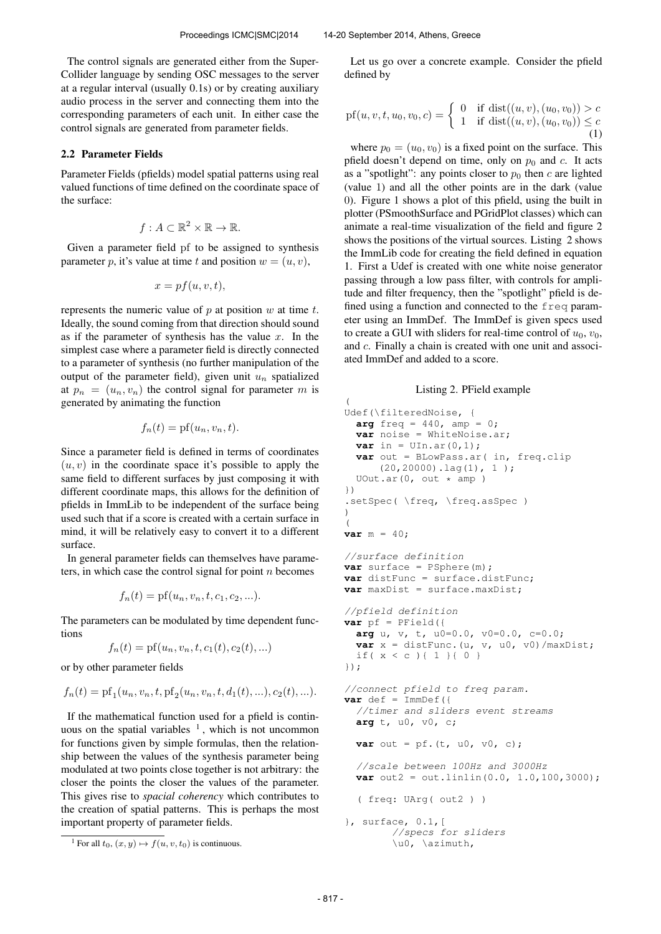(

The control signals are generated either from the Super-Collider language by sending OSC messages to the server at a regular interval (usually 0.1s) or by creating auxiliary audio process in the server and connecting them into the corresponding parameters of each unit. In either case the control signals are generated from parameter fields.

# 2.2 Parameter Fields

Parameter Fields (pfields) model spatial patterns using real valued functions of time defined on the coordinate space of the surface:

$$
f: A \subset \mathbb{R}^2 \times \mathbb{R} \to \mathbb{R}.
$$

Given a parameter field pf to be assigned to synthesis parameter p, it's value at time t and position  $w = (u, v)$ ,

$$
x = pf(u, v, t),
$$

represents the numeric value of  $p$  at position  $w$  at time  $t$ . Ideally, the sound coming from that direction should sound as if the parameter of synthesis has the value  $x$ . In the simplest case where a parameter field is directly connected to a parameter of synthesis (no further manipulation of the output of the parameter field), given unit  $u_n$  spatialized at  $p_n = (u_n, v_n)$  the control signal for parameter m is generated by animating the function

$$
f_n(t) = \text{pf}(u_n, v_n, t).
$$

Since a parameter field is defined in terms of coordinates  $(u, v)$  in the coordinate space it's possible to apply the same field to different surfaces by just composing it with different coordinate maps, this allows for the definition of pfields in ImmLib to be independent of the surface being used such that if a score is created with a certain surface in mind, it will be relatively easy to convert it to a different surface.

In general parameter fields can themselves have parameters, in which case the control signal for point  $n$  becomes

$$
f_n(t) = \text{pf}(u_n, v_n, t, c_1, c_2, \ldots).
$$

The parameters can be modulated by time dependent functions

$$
f_n(t) = \text{pf}(u_n, v_n, t, c_1(t), c_2(t), \ldots)
$$

or by other parameter fields

$$
f_n(t) = \text{pf}_1(u_n, v_n, t, \text{pf}_2(u_n, v_n, t, d_1(t), \ldots), c_2(t), \ldots).
$$

If the mathematical function used for a pfield is continuous on the spatial variables  $<sup>1</sup>$ , which is not uncommon</sup> for functions given by simple formulas, then the relationship between the values of the synthesis parameter being modulated at two points close together is not arbitrary: the closer the points the closer the values of the parameter. This gives rise to *spacial coherency* which contributes to the creation of spatial patterns. This is perhaps the most important property of parameter fields.

<sup>1</sup> For all  $t_0$ ,  $(x, y) \mapsto f(u, v, t_0)$  is continuous.

Let us go over a concrete example. Consider the pfield defined by

pf(u, v, t, u<sub>0</sub>, v<sub>0</sub>, c) = 
$$
\begin{cases} 0 & \text{if } \text{dist}((u, v), (u_0, v_0)) > c \\ 1 & \text{if } \text{dist}((u, v), (u_0, v_0)) \leq c \end{cases}
$$
 (1)

where  $p_0 = (u_0, v_0)$  is a fixed point on the surface. This pfield doesn't depend on time, only on  $p_0$  and c. It acts as a "spotlight": any points closer to  $p_0$  then c are lighted (value 1) and all the other points are in the dark (value 0). Figure 1 shows a plot of this pfield, using the built in plotter (PSmoothSurface and PGridPlot classes) which can animate a real-time visualization of the field and figure 2 shows the positions of the virtual sources. Listing 2 shows the ImmLib code for creating the field defined in equation 1. First a Udef is created with one white noise generator passing through a low pass filter, with controls for amplitude and filter frequency, then the "spotlight" pfield is defined using a function and connected to the freq parameter using an ImmDef. The ImmDef is given specs used to create a GUI with sliders for real-time control of  $u_0$ ,  $v_0$ , and c. Finally a chain is created with one unit and associated ImmDef and added to a score.

## Listing 2. PField example

```
Udef(\filteredNoise, {
 arg freq = 440, amp = 0;
 var noise = WhiteNoise.ar;
  var in = \text{UIn.ar}(0,1);
  var out = BLowPass.ar( in, freq.clip
      (20,20000).lag(1), 1 );
  UOut.ar(0, out * amp)
})
.setSpec( \freq, \freq.asSpec )
)
\left(var m = 40;
//surface definition
var surface = PSphere(m);
var distFunc = surface.distFunc;
var maxDist = surface.maxDist;
//pfield definition
var pf = PField({}arg u, v, t, u0=0.0, v0=0.0, c=0.0;
 var x = distFunc. (u, v, u0, v0) /maxDist;
  if( x < c ){ 1 }{ 0 }
});
//connect pfield to freq param.
var \def = \mp \text{ImmDef}//timer and sliders event streams
  arg t, u0, v0, c;
  var out = pf.(t, u0, v0, c);//scale between 100Hz and 3000Hz
  var out2 = out.linlin(0.0, 1.0, 100, 3000);
  ( freq: UArg( out2 ) )
}, surface, 0.1,[
        //specs for sliders
        \u0, \azimuth,
```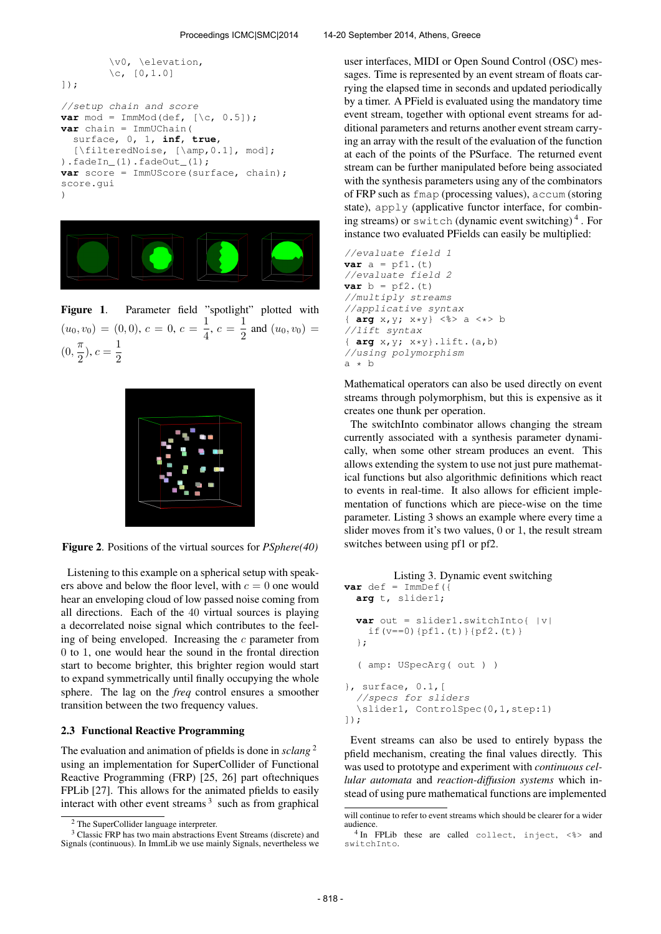```
\v0, \elevation,
        \c, [0, 1.0]]);
//setup chain and score
var mod = ImmMod(def, [\csc 0.5]);
var chain = ImmUChain(
  surface, 0, 1, inf, true,
  [\filteredNoise, [\amp,0.1], mod];
) .fadeIn(1) .fadeOut(1);var score = ImmUScore(surface, chain);
score.gui
)
```


Figure 1. Parameter field "spotlight" plotted with  $(u_0, v_0) = (0, 0), c = 0, c = \frac{1}{4}$  $\frac{1}{4}$ ,  $c = \frac{1}{2}$  $\frac{1}{2}$  and  $(u_0, v_0)$  =  $(0, \frac{\pi}{2})$  $(\frac{\pi}{2}), c = \frac{1}{2}$ 2



Figure 2. Positions of the virtual sources for *PSphere(40)*

Listening to this example on a spherical setup with speakers above and below the floor level, with  $c = 0$  one would hear an enveloping cloud of low passed noise coming from all directions. Each of the 40 virtual sources is playing a decorrelated noise signal which contributes to the feeling of being enveloped. Increasing the  $c$  parameter from 0 to 1, one would hear the sound in the frontal direction start to become brighter, this brighter region would start to expand symmetrically until finally occupying the whole sphere. The lag on the *freq* control ensures a smoother transition between the two frequency values.

#### 2.3 Functional Reactive Programming

The evaluation and animation of pfields is done in *sclang* <sup>2</sup> using an implementation for SuperCollider of Functional Reactive Programming (FRP) [25, 26] part oftechniques FPLib [27]. This allows for the animated pfields to easily interact with other event streams  $3$  such as from graphical

user interfaces, MIDI or Open Sound Control (OSC) messages. Time is represented by an event stream of floats carrying the elapsed time in seconds and updated periodically by a timer. A PField is evaluated using the mandatory time event stream, together with optional event streams for additional parameters and returns another event stream carrying an array with the result of the evaluation of the function at each of the points of the PSurface. The returned event stream can be further manipulated before being associated with the synthesis parameters using any of the combinators of FRP such as fmap (processing values), accum (storing state), apply (applicative functor interface, for combining streams) or switch (dynamic event switching) <sup>4</sup> . For instance two evaluated PFields can easily be multiplied:

//evaluate field 1 **var**  $a = pf1.(t)$ //evaluate field 2 **var**  $b = pf2. (t)$ //multiply streams //applicative syntax { **arg** x,y; x\*y} <%> a <\*> b //lift syntax { **arg** x,y; x\*y}.lift.(a,b) //using polymorphism  $a * b$ 

Mathematical operators can also be used directly on event streams through polymorphism, but this is expensive as it creates one thunk per operation.

The switchInto combinator allows changing the stream currently associated with a synthesis parameter dynamically, when some other stream produces an event. This allows extending the system to use not just pure mathematical functions but also algorithmic definitions which react to events in real-time. It also allows for efficient implementation of functions which are piece-wise on the time parameter. Listing 3 shows an example where every time a slider moves from it's two values, 0 or 1, the result stream switches between using pf1 or pf2.

```
Listing 3. Dynamic event switching
var def = ImmDef ({
 arg t, slider1;
  var out = slider1.switchInto{ |v|
    if(v==0){pf1.(t)}{pf2.(t)}
  };
  ( amp: USpecArg( out ) )
}, surface, 0.1,[
  //specs for sliders
  \slider1, ControlSpec(0,1,step:1)
]);
```
Event streams can also be used to entirely bypass the pfield mechanism, creating the final values directly. This was used to prototype and experiment with *continuous cellular automata* and *reaction-diffusion systems* which instead of using pure mathematical functions are implemented

<sup>2</sup> The SuperCollider language interpreter.

<sup>&</sup>lt;sup>3</sup> Classic FRP has two main abstractions Event Streams (discrete) and Signals (continuous). In ImmLib we use mainly Signals, nevertheless we

will continue to refer to event streams which should be clearer for a wider audience.

<sup>4</sup> In FPLib these are called collect, inject, <%> and switchInto.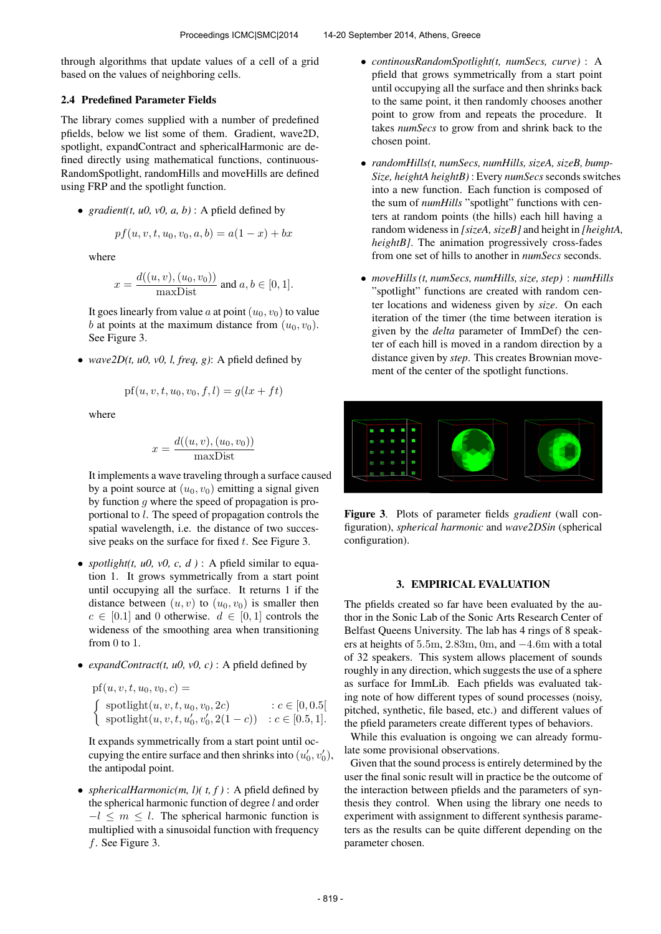through algorithms that update values of a cell of a grid based on the values of neighboring cells.

# 2.4 Predefined Parameter Fields

The library comes supplied with a number of predefined pfields, below we list some of them. Gradient, wave2D, spotlight, expandContract and sphericalHarmonic are defined directly using mathematical functions, continuous-RandomSpotlight, randomHills and moveHills are defined using FRP and the spotlight function.

• *gradient*(*t, u0, v0, a, b)* : A pfield defined by

$$
pf(u, v, t, u_0, v_0, a, b) = a(1 - x) + bx
$$

where

$$
x = \frac{d((u, v), (u_0, v_0))}{\text{maxDist}} \text{ and } a, b \in [0, 1].
$$

It goes linearly from value a at point  $(u_0, v_0)$  to value b at points at the maximum distance from  $(u_0, v_0)$ . See Figure 3.

• *wave2D(t, u0, v0, l, freq, g)*: A pfield defined by

$$
pf(u, v, t, u_0, v_0, f, l) = g(lx + ft)
$$

where

$$
x = \frac{d((u, v), (u_0, v_0))}{\text{maxDist}}
$$

It implements a wave traveling through a surface caused by a point source at  $(u_0, v_0)$  emitting a signal given by function  $g$  where the speed of propagation is proportional to l. The speed of propagation controls the spatial wavelength, i.e. the distance of two successive peaks on the surface for fixed  $t$ . See Figure 3.

- *spotlight(t, u0, v0, c, d)* : A pfield similar to equation 1. It grows symmetrically from a start point until occupying all the surface. It returns 1 if the distance between  $(u, v)$  to  $(u_0, v_0)$  is smaller then  $c \in [0.1]$  and 0 otherwise.  $d \in [0,1]$  controls the wideness of the smoothing area when transitioning from 0 to 1.
- *expandContract(t, u0, v0, c)* : A pfield defined by

pf(*u*, *v*, *t*, *u*<sub>0</sub>, *v*<sub>0</sub>, *c*) =  
\n
$$
\begin{cases}\n\text{spotlight}(u, v, t, u_0, v_0, 2c) & : c \in [0, 0.5[ \\
\text{spotlight}(u, v, t, u'_0, v'_0, 2(1-c)) & : c \in [0.5, 1].\n\end{cases}
$$

It expands symmetrically from a start point until occupying the entire surface and then shrinks into  $(u'_0, v'_0)$ , the antipodal point.

• *sphericalHarmonic(m, l)(t, f)* : A pfield defined by the spherical harmonic function of degree  $l$  and order  $-l \leq m \leq l$ . The spherical harmonic function is multiplied with a sinusoidal function with frequency f. See Figure 3.

- *continousRandomSpotlight(t, numSecs, curve)* : A pfield that grows symmetrically from a start point until occupying all the surface and then shrinks back to the same point, it then randomly chooses another point to grow from and repeats the procedure. It takes *numSecs* to grow from and shrink back to the chosen point.
- *randomHills(t, numSecs, numHills, sizeA, sizeB, bump-Size, heightA heightB)* : Every *numSecs*seconds switches into a new function. Each function is composed of the sum of *numHills* "spotlight" functions with centers at random points (the hills) each hill having a random wideness in *[sizeA, sizeB]* and height in *[heightA, heightB]*. The animation progressively cross-fades from one set of hills to another in *numSecs* seconds.
- *moveHills (t, numSecs, numHills, size, step)* : *numHills* "spotlight" functions are created with random center locations and wideness given by *size*. On each iteration of the timer (the time between iteration is given by the *delta* parameter of ImmDef) the center of each hill is moved in a random direction by a distance given by *step*. This creates Brownian movement of the center of the spotlight functions.



Figure 3. Plots of parameter fields *gradient* (wall configuration), *spherical harmonic* and *wave2DSin* (spherical configuration).

#### 3. EMPIRICAL EVALUATION

The pfields created so far have been evaluated by the author in the Sonic Lab of the Sonic Arts Research Center of Belfast Queens University. The lab has 4 rings of 8 speakers at heights of 5.5m, 2.83m, 0m, and −4.6m with a total of 32 speakers. This system allows placement of sounds roughly in any direction, which suggests the use of a sphere as surface for ImmLib. Each pfields was evaluated taking note of how different types of sound processes (noisy, pitched, synthetic, file based, etc.) and different values of the pfield parameters create different types of behaviors.

While this evaluation is ongoing we can already formulate some provisional observations.

Given that the sound process is entirely determined by the user the final sonic result will in practice be the outcome of the interaction between pfields and the parameters of synthesis they control. When using the library one needs to experiment with assignment to different synthesis parameters as the results can be quite different depending on the parameter chosen.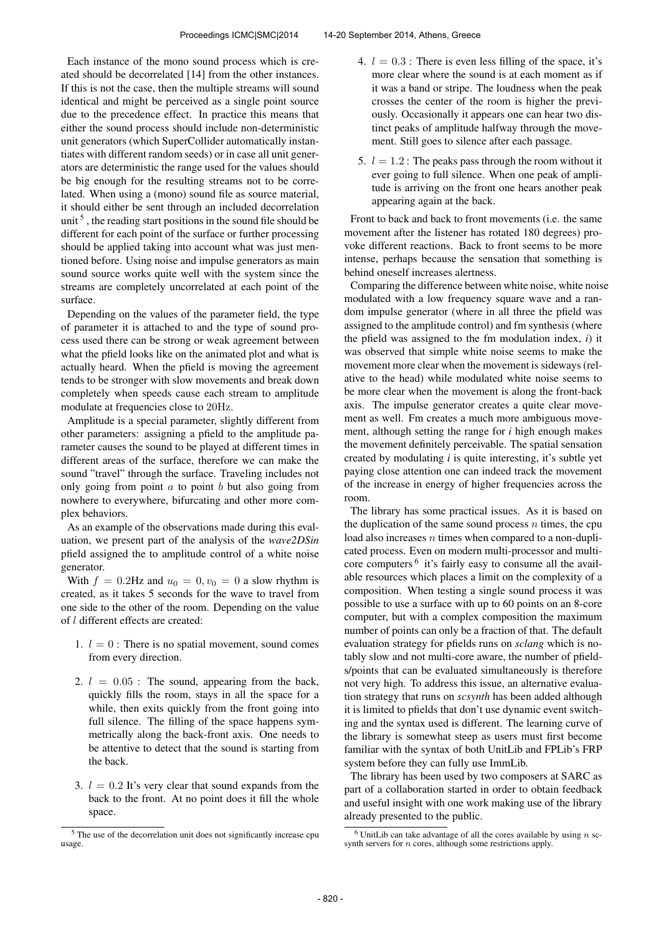Each instance of the mono sound process which is created should be decorrelated [14] from the other instances. If this is not the case, then the multiple streams will sound identical and might be perceived as a single point source due to the precedence effect. In practice this means that either the sound process should include non-deterministic unit generators (which SuperCollider automatically instantiates with different random seeds) or in case all unit generators are deterministic the range used for the values should be big enough for the resulting streams not to be correlated. When using a (mono) sound file as source material, it should either be sent through an included decorrelation unit<sup>5</sup>, the reading start positions in the sound file should be different for each point of the surface or further processing should be applied taking into account what was just mentioned before. Using noise and impulse generators as main sound source works quite well with the system since the streams are completely uncorrelated at each point of the surface.

Depending on the values of the parameter field, the type of parameter it is attached to and the type of sound process used there can be strong or weak agreement between what the pfield looks like on the animated plot and what is actually heard. When the pfield is moving the agreement tends to be stronger with slow movements and break down completely when speeds cause each stream to amplitude modulate at frequencies close to 20Hz.

Amplitude is a special parameter, slightly different from other parameters: assigning a pfield to the amplitude parameter causes the sound to be played at different times in different areas of the surface, therefore we can make the sound "travel" through the surface. Traveling includes not only going from point  $a$  to point  $b$  but also going from nowhere to everywhere, bifurcating and other more complex behaviors.

As an example of the observations made during this evaluation, we present part of the analysis of the *wave2DSin* pfield assigned the to amplitude control of a white noise generator.

With  $f = 0.2$ Hz and  $u_0 = 0$ ,  $v_0 = 0$  a slow rhythm is created, as it takes 5 seconds for the wave to travel from one side to the other of the room. Depending on the value of l different effects are created:

- 1.  $l = 0$ : There is no spatial movement, sound comes from every direction.
- 2.  $l = 0.05$ : The sound, appearing from the back, quickly fills the room, stays in all the space for a while, then exits quickly from the front going into full silence. The filling of the space happens symmetrically along the back-front axis. One needs to be attentive to detect that the sound is starting from the back.
- 3.  $l = 0.2$  It's very clear that sound expands from the back to the front. At no point does it fill the whole space.
- 4.  $l = 0.3$ : There is even less filling of the space, it's more clear where the sound is at each moment as if it was a band or stripe. The loudness when the peak crosses the center of the room is higher the previously. Occasionally it appears one can hear two distinct peaks of amplitude halfway through the movement. Still goes to silence after each passage.
- 5.  $l = 1.2$ : The peaks pass through the room without it ever going to full silence. When one peak of amplitude is arriving on the front one hears another peak appearing again at the back.

Front to back and back to front movements (i.e. the same movement after the listener has rotated 180 degrees) provoke different reactions. Back to front seems to be more intense, perhaps because the sensation that something is behind oneself increases alertness.

Comparing the difference between white noise, white noise modulated with a low frequency square wave and a random impulse generator (where in all three the pfield was assigned to the amplitude control) and fm synthesis (where the pfield was assigned to the fm modulation index, *i*) it was observed that simple white noise seems to make the movement more clear when the movement is sideways (relative to the head) while modulated white noise seems to be more clear when the movement is along the front-back axis. The impulse generator creates a quite clear movement as well. Fm creates a much more ambiguous movement, although setting the range for *i* high enough makes the movement definitely perceivable. The spatial sensation created by modulating *i* is quite interesting, it's subtle yet paying close attention one can indeed track the movement of the increase in energy of higher frequencies across the room.

The library has some practical issues. As it is based on the duplication of the same sound process  $n$  times, the cpu load also increases  $n$  times when compared to a non-duplicated process. Even on modern multi-processor and multicore computers<sup>6</sup> it's fairly easy to consume all the available resources which places a limit on the complexity of a composition. When testing a single sound process it was possible to use a surface with up to 60 points on an 8-core computer, but with a complex composition the maximum number of points can only be a fraction of that. The default evaluation strategy for pfields runs on *sclang* which is notably slow and not multi-core aware, the number of pfields/points that can be evaluated simultaneously is therefore not very high. To address this issue, an alternative evaluation strategy that runs on *scsynth* has been added although it is limited to pfields that don't use dynamic event switching and the syntax used is different. The learning curve of the library is somewhat steep as users must first become familiar with the syntax of both UnitLib and FPLib's FRP system before they can fully use ImmLib.

The library has been used by two composers at SARC as part of a collaboration started in order to obtain feedback and useful insight with one work making use of the library already presented to the public.

<sup>5</sup> The use of the decorrelation unit does not significantly increase cpu usage.

 $6$  UnitLib can take advantage of all the cores available by using n scsynth servers for  $n$  cores, although some restrictions apply.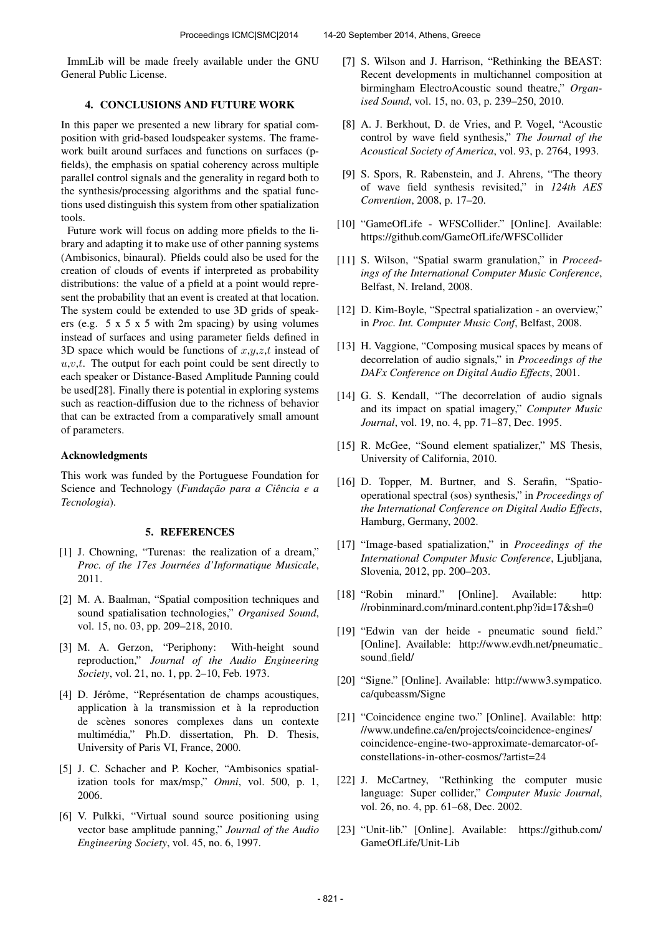ImmLib will be made freely available under the GNU General Public License.

# 4. CONCLUSIONS AND FUTURE WORK

In this paper we presented a new library for spatial composition with grid-based loudspeaker systems. The framework built around surfaces and functions on surfaces (pfields), the emphasis on spatial coherency across multiple parallel control signals and the generality in regard both to the synthesis/processing algorithms and the spatial functions used distinguish this system from other spatialization tools.

Future work will focus on adding more pfields to the library and adapting it to make use of other panning systems (Ambisonics, binaural). Pfields could also be used for the creation of clouds of events if interpreted as probability distributions: the value of a pfield at a point would represent the probability that an event is created at that location. The system could be extended to use 3D grids of speakers (e.g. 5 x 5 x 5 with 2m spacing) by using volumes instead of surfaces and using parameter fields defined in 3D space which would be functions of  $x,y,z,t$  instead of  $u, v, t$ . The output for each point could be sent directly to each speaker or Distance-Based Amplitude Panning could be used[28]. Finally there is potential in exploring systems such as reaction-diffusion due to the richness of behavior that can be extracted from a comparatively small amount of parameters.

## Acknowledgments

This work was funded by the Portuguese Foundation for Science and Technology (*Fundação para a Ciência e a Tecnologia*).

#### 5. REFERENCES

- [1] J. Chowning, "Turenas: the realization of a dream," *Proc. of the 17es Journées d'Informatique Musicale,* 2011.
- [2] M. A. Baalman, "Spatial composition techniques and sound spatialisation technologies," *Organised Sound*, vol. 15, no. 03, pp. 209–218, 2010.
- [3] M. A. Gerzon, "Periphony: With-height sound reproduction," *Journal of the Audio Engineering Society*, vol. 21, no. 1, pp. 2–10, Feb. 1973.
- [4] D. Jérôme, "Représentation de champs acoustiques, application à la transmission et à la reproduction de scenes sonores complexes dans un contexte ` multimédia," Ph.D. dissertation, Ph. D. Thesis, University of Paris VI, France, 2000.
- [5] J. C. Schacher and P. Kocher, "Ambisonics spatialization tools for max/msp," *Omni*, vol. 500, p. 1, 2006.
- [6] V. Pulkki, "Virtual sound source positioning using vector base amplitude panning," *Journal of the Audio Engineering Society*, vol. 45, no. 6, 1997.
- [7] S. Wilson and J. Harrison, "Rethinking the BEAST: Recent developments in multichannel composition at birmingham ElectroAcoustic sound theatre," *Organised Sound*, vol. 15, no. 03, p. 239–250, 2010.
- [8] A. J. Berkhout, D. de Vries, and P. Vogel, "Acoustic control by wave field synthesis," *The Journal of the Acoustical Society of America*, vol. 93, p. 2764, 1993.
- [9] S. Spors, R. Rabenstein, and J. Ahrens, "The theory of wave field synthesis revisited," in *124th AES Convention*, 2008, p. 17–20.
- [10] "GameOfLife WFSCollider." [Online]. Available: <https://github.com/GameOfLife/WFSCollider>
- [11] S. Wilson, "Spatial swarm granulation," in *Proceedings of the International Computer Music Conference*, Belfast, N. Ireland, 2008.
- [12] D. Kim-Boyle, "Spectral spatialization an overview," in *Proc. Int. Computer Music Conf*, Belfast, 2008.
- [13] H. Vaggione, "Composing musical spaces by means of decorrelation of audio signals," in *Proceedings of the DAFx Conference on Digital Audio Effects*, 2001.
- [14] G. S. Kendall, "The decorrelation of audio signals and its impact on spatial imagery," *Computer Music Journal*, vol. 19, no. 4, pp. 71–87, Dec. 1995.
- [15] R. McGee, "Sound element spatializer," MS Thesis, University of California, 2010.
- [16] D. Topper, M. Burtner, and S. Serafin, "Spatiooperational spectral (sos) synthesis," in *Proceedings of the International Conference on Digital Audio Effects*, Hamburg, Germany, 2002.
- [17] "Image-based spatialization," in *Proceedings of the International Computer Music Conference*, Ljubljana, Slovenia, 2012, pp. 200–203.
- [18] "Robin minard." [Online]. Available: [http:](http://robinminard.com/minard.content.php?id=17&sh=0) [//robinminard.com/minard.content.php?id=17&sh=0](http://robinminard.com/minard.content.php?id=17&sh=0)
- [19] "Edwin van der heide pneumatic sound field." [Online]. Available: [http://www.evdh.net/pneumatic](http://www.evdh.net/pneumatic_sound_field/) [sound](http://www.evdh.net/pneumatic_sound_field/) field/
- [20] "Signe." [Online]. Available: [http://www3.sympatico.](http://www3.sympatico.ca/qubeassm/Signe) [ca/qubeassm/Signe](http://www3.sympatico.ca/qubeassm/Signe)
- [21] "Coincidence engine two." [Online]. Available: [http:](http://www.undefine.ca/en/projects/coincidence-engines/coincidence-engine-two-approximate-demarcator-of-constellations-in-other-cosmos/?artist=24) [//www.undefine.ca/en/projects/coincidence-engines/](http://www.undefine.ca/en/projects/coincidence-engines/coincidence-engine-two-approximate-demarcator-of-constellations-in-other-cosmos/?artist=24) [coincidence-engine-two-approximate-demarcator-of](http://www.undefine.ca/en/projects/coincidence-engines/coincidence-engine-two-approximate-demarcator-of-constellations-in-other-cosmos/?artist=24)[constellations-in-other-cosmos/?artist=24](http://www.undefine.ca/en/projects/coincidence-engines/coincidence-engine-two-approximate-demarcator-of-constellations-in-other-cosmos/?artist=24)
- [22] J. McCartney, "Rethinking the computer music language: Super collider," *Computer Music Journal*, vol. 26, no. 4, pp. 61–68, Dec. 2002.
- [23] "Unit-lib." [Online]. Available: [https://github.com/](https://github.com/GameOfLife/Unit-Lib) [GameOfLife/Unit-Lib](https://github.com/GameOfLife/Unit-Lib)